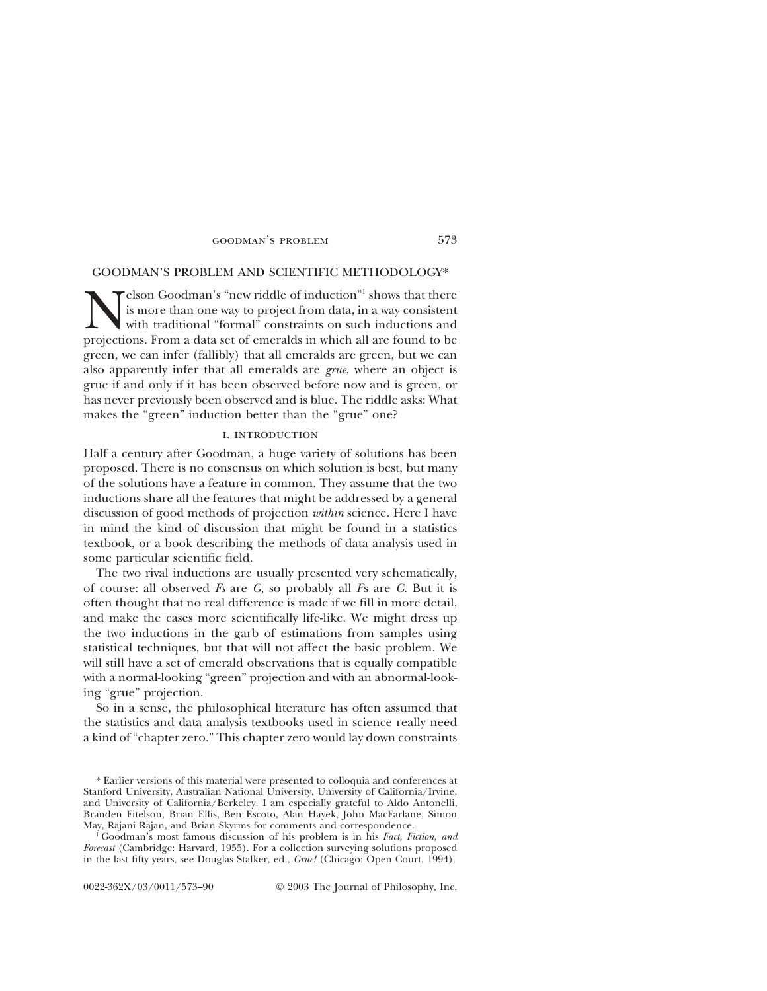# GOODMAN'S PROBLEM AND SCIENTIFIC METHODOLOGY\*

Relson Goodman's "new riddle of induction"<sup>1</sup> shows that there<br>is more than one way to project from data, in a way consistent<br>with traditional "formal" constraints on such inductions and<br>projections. From a data set of eme is more than one way to project from data, in a way consistent with traditional "formal" constraints on such inductions and projections. From a data set of emeralds in which all are found to be green, we can infer (fallibly) that all emeralds are green, but we can also apparently infer that all emeralds are *grue*, where an object is grue if and only if it has been observed before now and is green, or has never previously been observed and is blue. The riddle asks: What makes the "green" induction better than the "grue" one?

# i. introduction

Half a century after Goodman, a huge variety of solutions has been proposed. There is no consensus on which solution is best, but many of the solutions have a feature in common. They assume that the two inductions share all the features that might be addressed by a general discussion of good methods of projection *within* science. Here I have in mind the kind of discussion that might be found in a statistics textbook, or a book describing the methods of data analysis used in some particular scientific field.

The two rival inductions are usually presented very schematically, of course: all observed *Fs* are *G*, so probably all *F*s are *G*. But it is often thought that no real difference is made if we fill in more detail, and make the cases more scientifically life-like. We might dress up the two inductions in the garb of estimations from samples using statistical techniques, but that will not affect the basic problem. We will still have a set of emerald observations that is equally compatible with a normal-looking "green" projection and with an abnormal-looking "grue" projection.

So in a sense, the philosophical literature has often assumed that the statistics and data analysis textbooks used in science really need a kind of "chapter zero." This chapter zero would lay down constraints

<sup>1</sup> Goodman's most famous discussion of his problem is in his *Fact, Fiction, and Forecast* (Cambridge: Harvard, 1955). For a collection surveying solutions proposed in the last fifty years, see Douglas Stalker, ed., *Grue!* (Chicago: Open Court, 1994).

0022-362X/03/0011/573-90 © 2003 The Journal of Philosophy, Inc.

<sup>\*</sup> Earlier versions of this material were presented to colloquia and conferences at Stanford University, Australian National University, University of California/Irvine, and University of California/Berkeley. I am especially grateful to Aldo Antonelli, Branden Fitelson, Brian Ellis, Ben Escoto, Alan Hayek, John MacFarlane, Simon May, Rajani Rajan, and Brian Skyrms for comments and correspondence.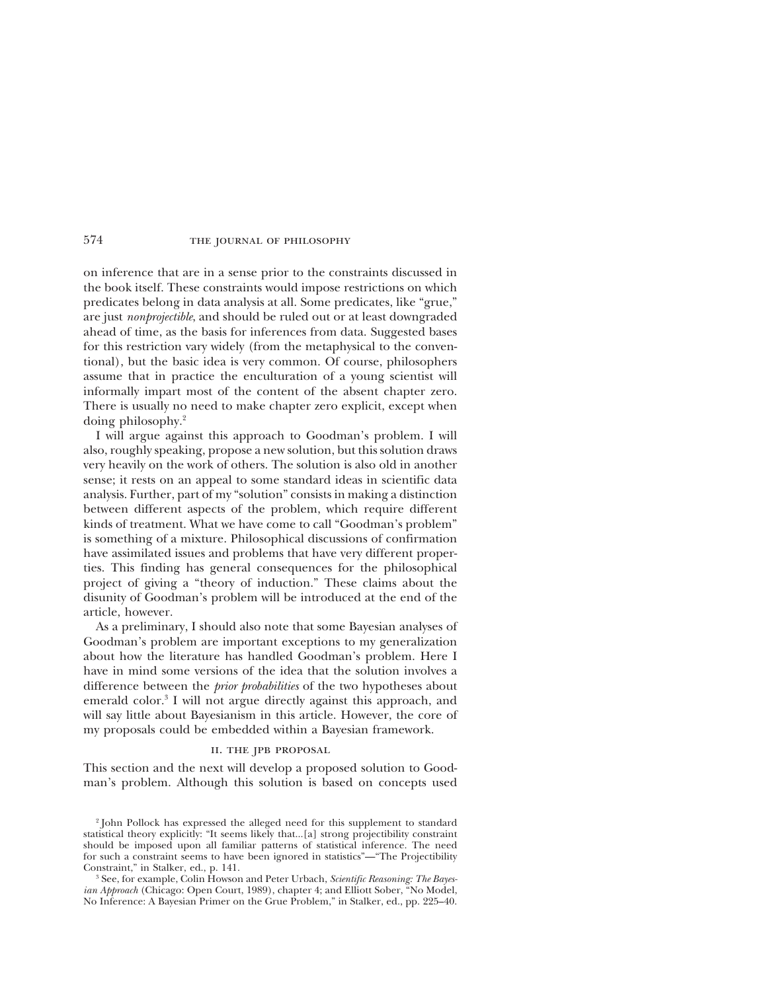on inference that are in a sense prior to the constraints discussed in the book itself. These constraints would impose restrictions on which predicates belong in data analysis at all. Some predicates, like "grue," are just *nonprojectible*, and should be ruled out or at least downgraded ahead of time, as the basis for inferences from data. Suggested bases for this restriction vary widely (from the metaphysical to the conventional), but the basic idea is very common. Of course, philosophers assume that in practice the enculturation of a young scientist will informally impart most of the content of the absent chapter zero. There is usually no need to make chapter zero explicit, except when doing philosophy.2

I will argue against this approach to Goodman's problem. I will also, roughly speaking, propose a new solution, but this solution draws very heavily on the work of others. The solution is also old in another sense; it rests on an appeal to some standard ideas in scientific data analysis. Further, part of my "solution" consists in making a distinction between different aspects of the problem, which require different kinds of treatment. What we have come to call "Goodman's problem" is something of a mixture. Philosophical discussions of confirmation have assimilated issues and problems that have very different properties. This finding has general consequences for the philosophical project of giving a "theory of induction." These claims about the disunity of Goodman's problem will be introduced at the end of the article, however.

As a preliminary, I should also note that some Bayesian analyses of Goodman's problem are important exceptions to my generalization about how the literature has handled Goodman's problem. Here I have in mind some versions of the idea that the solution involves a difference between the *prior probabilities* of the two hypotheses about emerald color.<sup>3</sup> I will not argue directly against this approach, and will say little about Bayesianism in this article. However, the core of my proposals could be embedded within a Bayesian framework.

### ii. the jpb proposal

This section and the next will develop a proposed solution to Goodman's problem. Although this solution is based on concepts used

<sup>&</sup>lt;sup>2</sup> John Pollock has expressed the alleged need for this supplement to standard statistical theory explicitly: "It seems likely that...[a] strong projectibility constraint should be imposed upon all familiar patterns of statistical inference. The need for such a constraint seems to have been ignored in statistics"—"The Projectibility Constraint," in Stalker, ed., p. 141.

<sup>3</sup> See, for example, Colin Howson and Peter Urbach, *Scientific Reasoning: The Bayesian Approach* (Chicago: Open Court, 1989), chapter 4; and Elliott Sober, "No Model, No Inference: A Bayesian Primer on the Grue Problem," in Stalker, ed., pp. 225–40.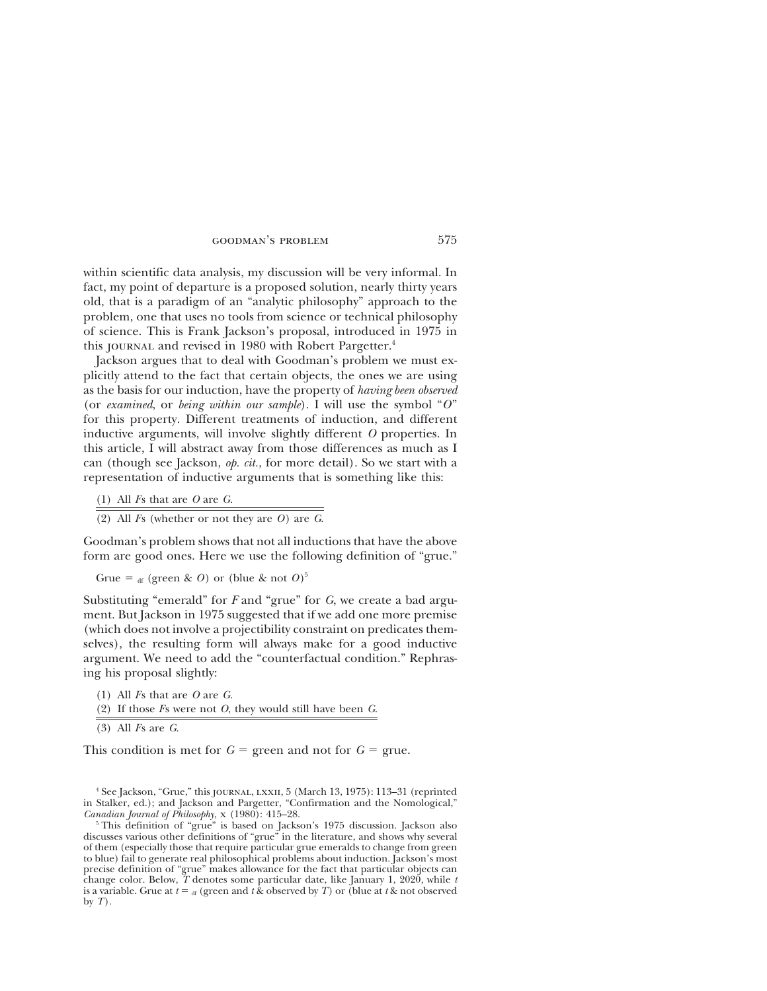within scientific data analysis, my discussion will be very informal. In fact, my point of departure is a proposed solution, nearly thirty years old, that is a paradigm of an "analytic philosophy" approach to the problem, one that uses no tools from science or technical philosophy of science. This is Frank Jackson's proposal, introduced in 1975 in this journal and revised in 1980 with Robert Pargetter.<sup>4</sup>

Jackson argues that to deal with Goodman's problem we must explicitly attend to the fact that certain objects, the ones we are using as the basis for our induction, have the property of *having been observed* (or *examined*, or *being within our sample*). I will use the symbol "*O*" for this property. Different treatments of induction, and different inductive arguments, will involve slightly different *O* properties. In this article, I will abstract away from those differences as much as I can (though see Jackson, *op. cit.,* for more detail). So we start with a representation of inductive arguments that is something like this:

(1) All *F*s that are *O* are *G*.

(2) All *F*s (whether or not they are *O*) are *G*.

Goodman's problem shows that not all inductions that have the above form are good ones. Here we use the following definition of "grue."

Grue =  $_{df}$  (green & *O*) or (blue & not *O*)<sup>5</sup>

Substituting "emerald" for *F* and "grue" for *G*, we create a bad argument. But Jackson in 1975 suggested that if we add one more premise (which does not involve a projectibility constraint on predicates themselves), the resulting form will always make for a good inductive argument. We need to add the "counterfactual condition." Rephrasing his proposal slightly:

(1) All *F*s that are *O* are *G*. (2) If those *F*s were not *O*, they would still have been *G*.

(3) All *F*s are *G*.

This condition is met for  $G =$  green and not for  $G =$  grue.

<sup>4</sup> See Jackson, "Grue," this journal, lxxii, 5 (March 13, 1975): 113–31 (reprinted in Stalker, ed.); and Jackson and Pargetter, "Confirmation and the Nomological," *Canadian Journal of Philosophy*, x (1980): 415–28.

<sup>5</sup> This definition of "grue" is based on Jackson's 1975 discussion. Jackson also discusses various other definitions of "grue" in the literature, and shows why several of them (especially those that require particular grue emeralds to change from green to blue) fail to generate real philosophical problems about induction. Jackson's most precise definition of "grue" makes allowance for the fact that particular objects can change color. Below, *T* denotes some particular date, like January 1, 2020, while *t* is a variable. Grue at  $t =_{df}$  (green and *t* & observed by *T*) or (blue at *t* & not observed by *T*).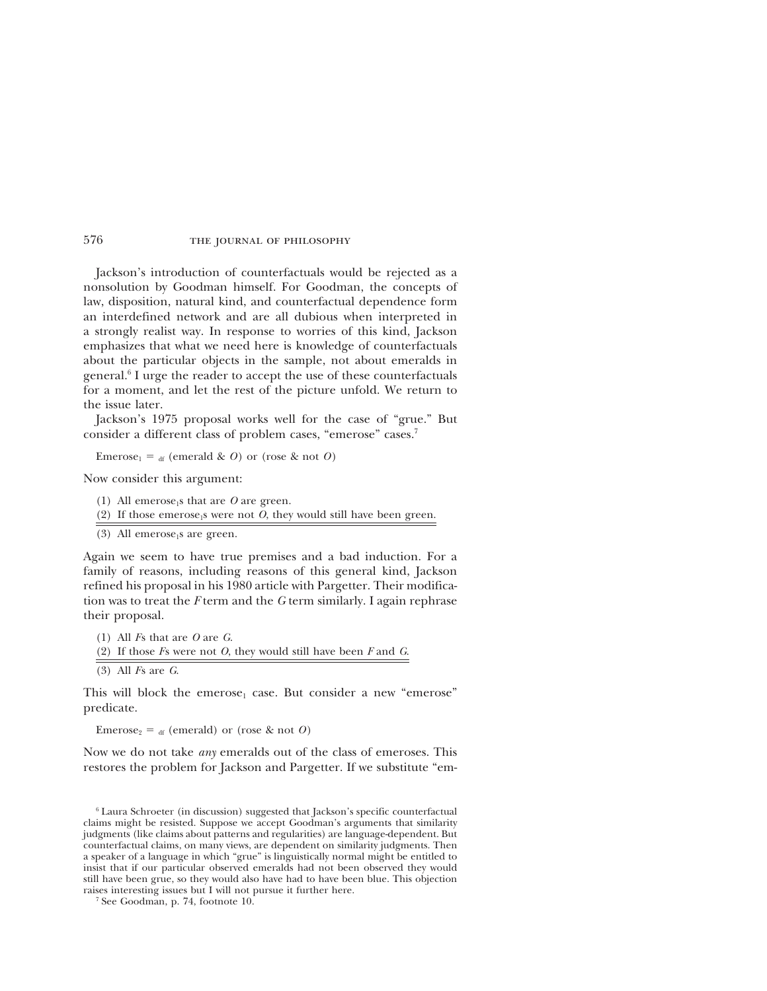Jackson's introduction of counterfactuals would be rejected as a nonsolution by Goodman himself. For Goodman, the concepts of law, disposition, natural kind, and counterfactual dependence form an interdefined network and are all dubious when interpreted in a strongly realist way. In response to worries of this kind, Jackson emphasizes that what we need here is knowledge of counterfactuals about the particular objects in the sample, not about emeralds in general.6 I urge the reader to accept the use of these counterfactuals for a moment, and let the rest of the picture unfold. We return to the issue later.

Jackson's 1975 proposal works well for the case of "grue." But consider a different class of problem cases, "emerose" cases.7

Emerose<sub>1</sub> =  $_{df}$  (emerald & *O*) or (rose & not *O*)

Now consider this argument:

- (1) All emerose<sub>1</sub>s that are  $O$  are green.
- (2) If those emerose<sub>1</sub>s were not  $O$ , they would still have been green.
- $(3)$  All emerose<sub>1</sub>s are green.

Again we seem to have true premises and a bad induction. For a family of reasons, including reasons of this general kind, Jackson refined his proposal in his 1980 article with Pargetter. Their modification was to treat the *F* term and the *G* term similarly. I again rephrase their proposal.

```
(1) All Fs that are O are G.
```
- (2) If those *F*s were not *O*, they would still have been *F* and *G*.
- (3) All *F*s are *G*.

This will block the emerose<sub>1</sub> case. But consider a new "emerose" predicate.

Emerose<sub>2</sub> =  $_{df}$  (emerald) or (rose & not *O*)

Now we do not take *any* emeralds out of the class of emeroses. This restores the problem for Jackson and Pargetter. If we substitute "em-

<sup>6</sup> Laura Schroeter (in discussion) suggested that Jackson's specific counterfactual claims might be resisted. Suppose we accept Goodman's arguments that similarity judgments (like claims about patterns and regularities) are language-dependent. But counterfactual claims, on many views, are dependent on similarity judgments. Then a speaker of a language in which "grue" is linguistically normal might be entitled to insist that if our particular observed emeralds had not been observed they would still have been grue, so they would also have had to have been blue. This objection raises interesting issues but I will not pursue it further here.

<sup>7</sup> See Goodman, p. 74, footnote 10.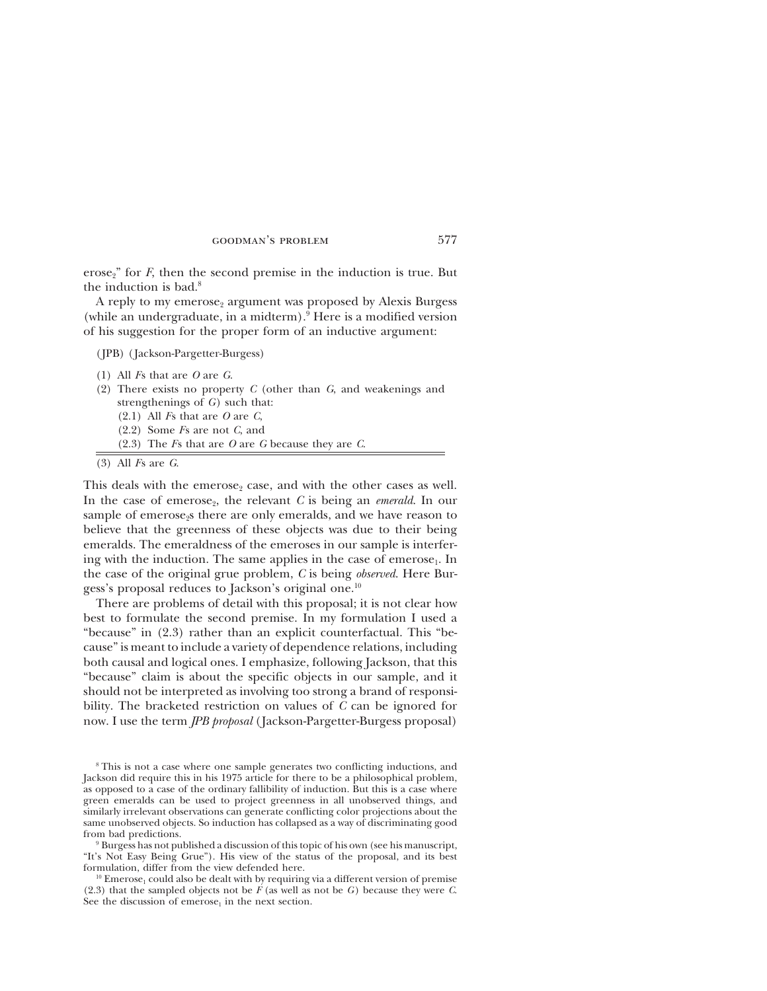erose $2^{\prime}$  for *F*, then the second premise in the induction is true. But the induction is bad.<sup>8</sup>

A reply to my emerose<sub>2</sub> argument was proposed by Alexis Burgess (while an undergraduate, in a midterm). $9$  Here is a modified version of his suggestion for the proper form of an inductive argument:

(JPB) (Jackson-Pargetter-Burgess)

- (2) There exists no property *C* (other than *G*, and weakenings and strengthenings of *G*) such that:
	- (2.1) All *F*s that are *O* are *C*,
	- (2.2) Some *F*s are not *C*, and
	- (2.3) The *F*s that are *O* are *G* because they are *C*.

(3) All *F*s are *G*.

This deals with the emerose $_2$  case, and with the other cases as well. In the case of emerose<sub>2</sub>, the relevant  $C$  is being an *emerald*. In our sample of emerose<sub>2</sub>s there are only emeralds, and we have reason to believe that the greenness of these objects was due to their being emeralds. The emeraldness of the emeroses in our sample is interfering with the induction. The same applies in the case of emerose $<sub>1</sub>$ . In</sub> the case of the original grue problem, *C* is being *observed*. Here Burgess's proposal reduces to Jackson's original one.10

There are problems of detail with this proposal; it is not clear how best to formulate the second premise. In my formulation I used a "because" in (2.3) rather than an explicit counterfactual. This "because" is meant to include a variety of dependence relations, including both causal and logical ones. I emphasize, following Jackson, that this "because" claim is about the specific objects in our sample, and it should not be interpreted as involving too strong a brand of responsibility. The bracketed restriction on values of *C* can be ignored for now. I use the term *JPB proposal* (Jackson-Pargetter-Burgess proposal)

<sup>8</sup> This is not a case where one sample generates two conflicting inductions, and Jackson did require this in his 1975 article for there to be a philosophical problem, as opposed to a case of the ordinary fallibility of induction. But this is a case where green emeralds can be used to project greenness in all unobserved things, and similarly irrelevant observations can generate conflicting color projections about the same unobserved objects. So induction has collapsed as a way of discriminating good from bad predictions.

<sup>9</sup> Burgess has not published a discussion of this topic of his own (see his manuscript, "It's Not Easy Being Grue"). His view of the status of the proposal, and its best formulation, differ from the view defended here.

 $10^{\circ}$  Emerose<sub>1</sub> could also be dealt with by requiring via a different version of premise (2.3) that the sampled objects not be *F* (as well as not be *G*) because they were *C*. See the discussion of emerose<sub>1</sub> in the next section.

<sup>(1)</sup> All *F*s that are *O* are *G*.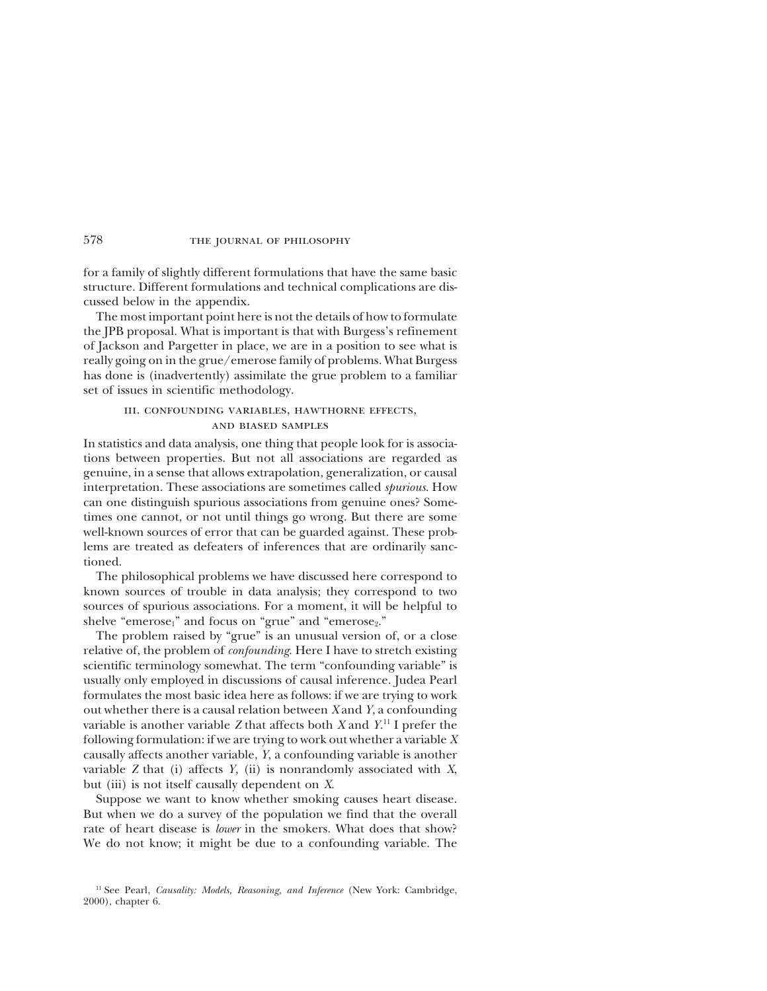for a family of slightly different formulations that have the same basic structure. Different formulations and technical complications are discussed below in the appendix.

The most important point here is not the details of how to formulate the JPB proposal. What is important is that with Burgess's refinement of Jackson and Pargetter in place, we are in a position to see what is really going on in the grue/emerose family of problems. What Burgess has done is (inadvertently) assimilate the grue problem to a familiar set of issues in scientific methodology.

# iii. confounding variables, hawthorne effects, and biased samples

In statistics and data analysis, one thing that people look for is associations between properties. But not all associations are regarded as genuine, in a sense that allows extrapolation, generalization, or causal interpretation. These associations are sometimes called *spurious*. How can one distinguish spurious associations from genuine ones? Sometimes one cannot, or not until things go wrong. But there are some well-known sources of error that can be guarded against. These problems are treated as defeaters of inferences that are ordinarily sanctioned.

The philosophical problems we have discussed here correspond to known sources of trouble in data analysis; they correspond to two sources of spurious associations. For a moment, it will be helpful to shelve "emerose $_1$ " and focus on "grue" and "emerose $_2$ ."

The problem raised by "grue" is an unusual version of, or a close relative of, the problem of *confounding*. Here I have to stretch existing scientific terminology somewhat. The term "confounding variable" is usually only employed in discussions of causal inference. Judea Pearl formulates the most basic idea here as follows: if we are trying to work out whether there is a causal relation between *X* and *Y*, a confounding variable is another variable *Z* that affects both *X* and *Y*. <sup>11</sup> I prefer the following formulation: if we are trying to work out whether a variable *X* causally affects another variable, *Y*, a confounding variable is another variable *Z* that (i) affects *Y*, (ii) is nonrandomly associated with *X*, but (iii) is not itself causally dependent on *X*.

Suppose we want to know whether smoking causes heart disease. But when we do a survey of the population we find that the overall rate of heart disease is *lower* in the smokers. What does that show? We do not know; it might be due to a confounding variable. The

<sup>&</sup>lt;sup>11</sup> See Pearl, *Causality: Models, Reasoning, and Inference* (New York: Cambridge, 2000), chapter 6.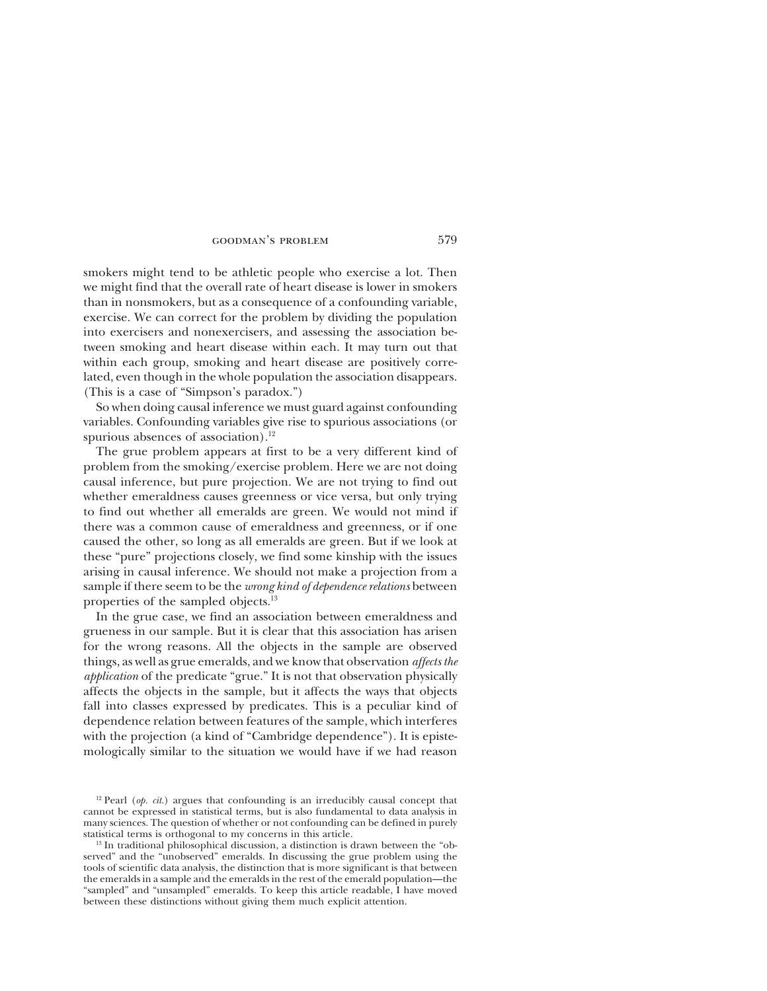smokers might tend to be athletic people who exercise a lot. Then we might find that the overall rate of heart disease is lower in smokers than in nonsmokers, but as a consequence of a confounding variable, exercise. We can correct for the problem by dividing the population into exercisers and nonexercisers, and assessing the association between smoking and heart disease within each. It may turn out that within each group, smoking and heart disease are positively correlated, even though in the whole population the association disappears. (This is a case of "Simpson's paradox.")

So when doing causal inference we must guard against confounding variables. Confounding variables give rise to spurious associations (or spurious absences of association). $12$ 

The grue problem appears at first to be a very different kind of problem from the smoking/exercise problem. Here we are not doing causal inference, but pure projection. We are not trying to find out whether emeraldness causes greenness or vice versa, but only trying to find out whether all emeralds are green. We would not mind if there was a common cause of emeraldness and greenness, or if one caused the other, so long as all emeralds are green. But if we look at these "pure" projections closely, we find some kinship with the issues arising in causal inference. We should not make a projection from a sample if there seem to be the *wrong kind of dependence relations* between properties of the sampled objects.13

In the grue case, we find an association between emeraldness and grueness in our sample. But it is clear that this association has arisen for the wrong reasons. All the objects in the sample are observed things, as well as grue emeralds, and we know that observation *affects the application* of the predicate "grue." It is not that observation physically affects the objects in the sample, but it affects the ways that objects fall into classes expressed by predicates. This is a peculiar kind of dependence relation between features of the sample, which interferes with the projection (a kind of "Cambridge dependence"). It is epistemologically similar to the situation we would have if we had reason

<sup>12</sup> Pearl (*op. cit*.) argues that confounding is an irreducibly causal concept that cannot be expressed in statistical terms, but is also fundamental to data analysis in many sciences. The question of whether or not confounding can be defined in purely statistical terms is orthogonal to my concerns in this article.

 $13$  In traditional philosophical discussion, a distinction is drawn between the "observed" and the "unobserved" emeralds. In discussing the grue problem using the tools of scientific data analysis, the distinction that is more significant is that between the emeralds in a sample and the emeralds in the rest of the emerald population—the "sampled" and "unsampled" emeralds. To keep this article readable, I have moved between these distinctions without giving them much explicit attention.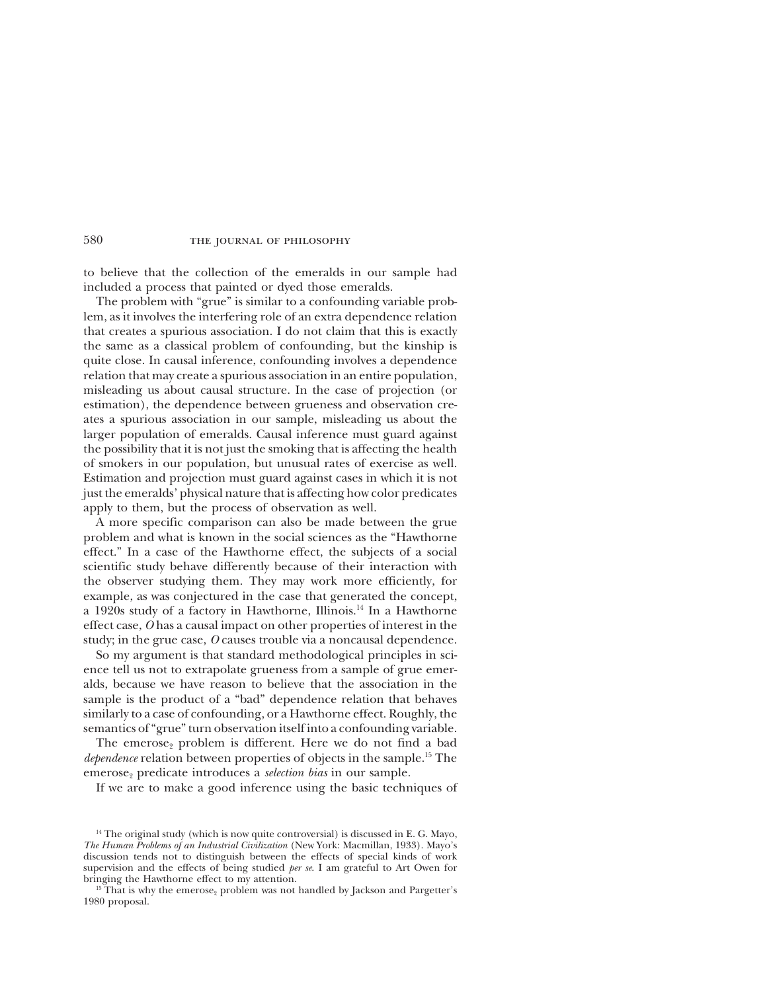to believe that the collection of the emeralds in our sample had included a process that painted or dyed those emeralds.

The problem with "grue" is similar to a confounding variable problem, as it involves the interfering role of an extra dependence relation that creates a spurious association. I do not claim that this is exactly the same as a classical problem of confounding, but the kinship is quite close. In causal inference, confounding involves a dependence relation that may create a spurious association in an entire population, misleading us about causal structure. In the case of projection (or estimation), the dependence between grueness and observation creates a spurious association in our sample, misleading us about the larger population of emeralds. Causal inference must guard against the possibility that it is not just the smoking that is affecting the health of smokers in our population, but unusual rates of exercise as well. Estimation and projection must guard against cases in which it is not just the emeralds' physical nature that is affecting how color predicates apply to them, but the process of observation as well.

A more specific comparison can also be made between the grue problem and what is known in the social sciences as the "Hawthorne effect." In a case of the Hawthorne effect, the subjects of a social scientific study behave differently because of their interaction with the observer studying them. They may work more efficiently, for example, as was conjectured in the case that generated the concept, a 1920s study of a factory in Hawthorne, Illinois.14 In a Hawthorne effect case, *O* has a causal impact on other properties of interest in the study; in the grue case, *O* causes trouble via a noncausal dependence.

So my argument is that standard methodological principles in science tell us not to extrapolate grueness from a sample of grue emeralds, because we have reason to believe that the association in the sample is the product of a "bad" dependence relation that behaves similarly to a case of confounding, or a Hawthorne effect. Roughly, the semantics of "grue" turn observation itself into a confounding variable.

The emerose<sub>2</sub> problem is different. Here we do not find a bad *dependence* relation between properties of objects in the sample.15 The emerose<sub>2</sub> predicate introduces a *selection bias* in our sample.

If we are to make a good inference using the basic techniques of

<sup>&</sup>lt;sup>14</sup> The original study (which is now quite controversial) is discussed in E. G. Mayo, *The Human Problems of an Industrial Civilization* (New York: Macmillan, 1933). Mayo's discussion tends not to distinguish between the effects of special kinds of work supervision and the effects of being studied *per se*. I am grateful to Art Owen for bringing the Hawthorne effect to my attention.

 $^{15}$  That is why the emerose<sub>2</sub> problem was not handled by Jackson and Pargetter's 1980 proposal.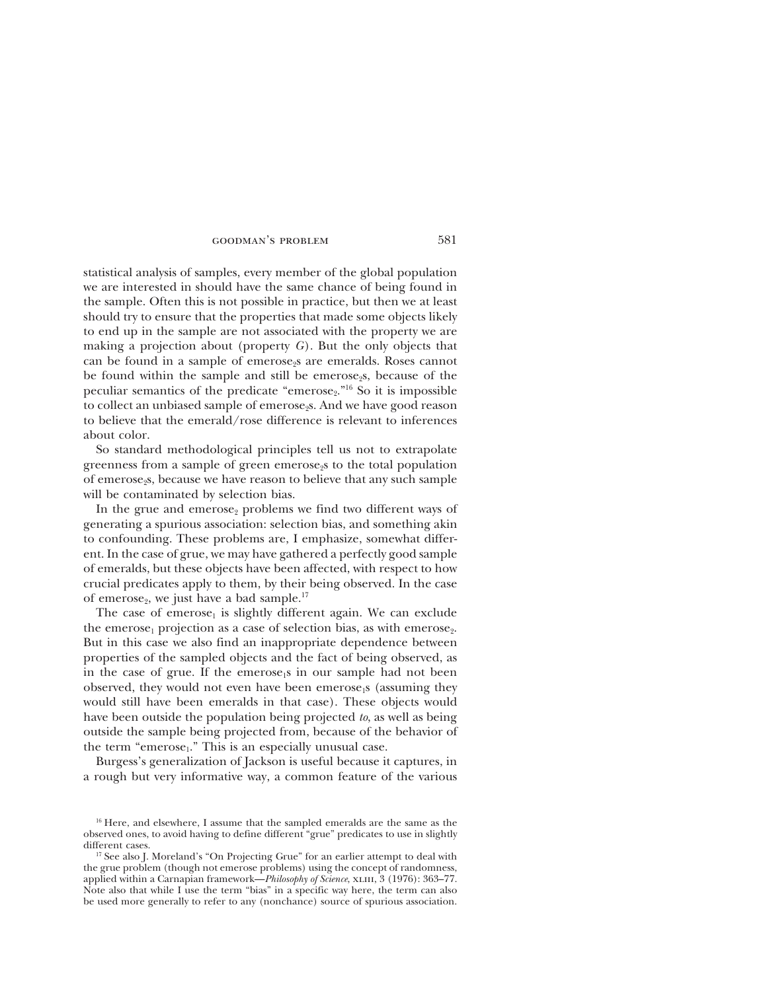#### GOODMAN'S PROBLEM 581

statistical analysis of samples, every member of the global population we are interested in should have the same chance of being found in the sample. Often this is not possible in practice, but then we at least should try to ensure that the properties that made some objects likely to end up in the sample are not associated with the property we are making a projection about (property *G*). But the only objects that can be found in a sample of emerose<sub>2</sub>s are emeralds. Roses cannot be found within the sample and still be emerose<sub>2</sub>s, because of the peculiar semantics of the predicate "emerose $2^{116}$  So it is impossible to collect an unbiased sample of emerose<sub>2</sub>s. And we have good reason to believe that the emerald/rose difference is relevant to inferences about color.

So standard methodological principles tell us not to extrapolate greenness from a sample of green emerose<sub>2</sub>s to the total population of emerose<sub>2</sub>s, because we have reason to believe that any such sample will be contaminated by selection bias.

In the grue and  $emerose<sub>2</sub>$  problems we find two different ways of generating a spurious association: selection bias, and something akin to confounding. These problems are, I emphasize, somewhat different. In the case of grue, we may have gathered a perfectly good sample of emeralds, but these objects have been affected, with respect to how crucial predicates apply to them, by their being observed. In the case of emerose<sub>2</sub>, we just have a bad sample.<sup>17</sup>

The case of emerose $<sub>1</sub>$  is slightly different again. We can exclude</sub> the emerose<sub>1</sub> projection as a case of selection bias, as with emerose $_2$ . But in this case we also find an inappropriate dependence between properties of the sampled objects and the fact of being observed, as in the case of grue. If the emerose<sub>1</sub>s in our sample had not been observed, they would not even have been emerose $_1$ s (assuming they would still have been emeralds in that case). These objects would have been outside the population being projected *to*, as well as being outside the sample being projected from, because of the behavior of the term "emerose $<sub>1</sub>$ ." This is an especially unusual case.</sub>

Burgess's generalization of Jackson is useful because it captures, in a rough but very informative way, a common feature of the various

<sup>16</sup> Here, and elsewhere, I assume that the sampled emeralds are the same as the observed ones, to avoid having to define different "grue" predicates to use in slightly different cases.

<sup>&</sup>lt;sup>17</sup> See also J. Moreland's "On Projecting Grue" for an earlier attempt to deal with the grue problem (though not emerose problems) using the concept of randomness, applied within a Carnapian framework—*Philosophy of Science*, xLIII, 3 (1976): 363–77. Note also that while I use the term "bias" in a specific way here, the term can also be used more generally to refer to any (nonchance) source of spurious association.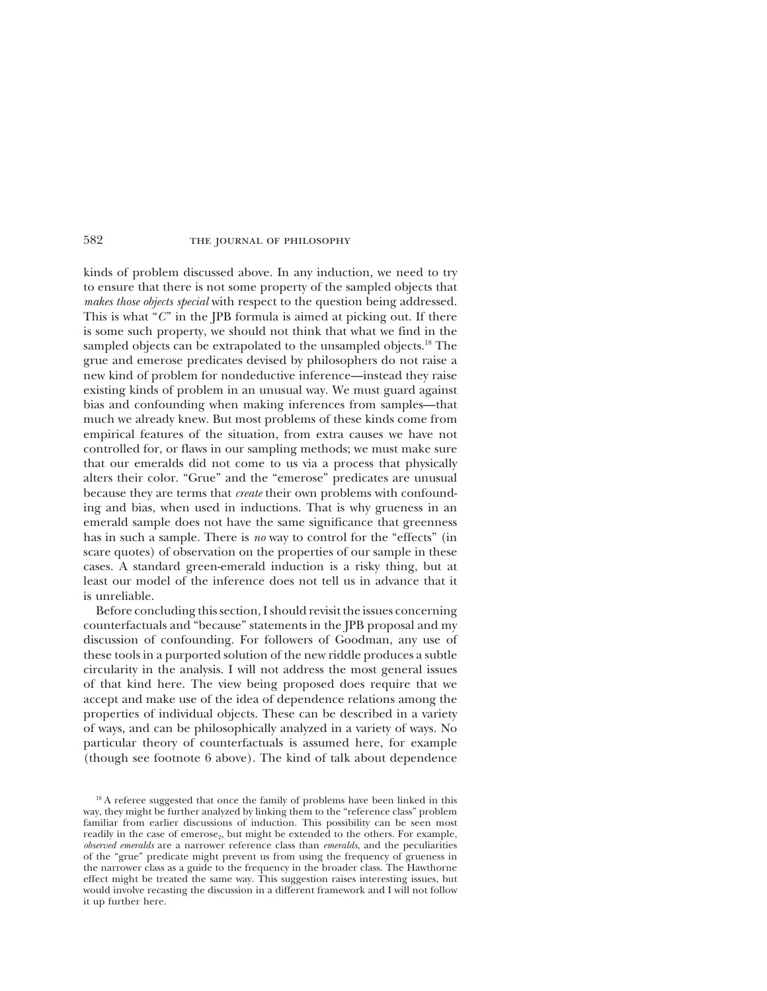kinds of problem discussed above. In any induction, we need to try to ensure that there is not some property of the sampled objects that *makes those objects special* with respect to the question being addressed. This is what "*C*" in the JPB formula is aimed at picking out. If there is some such property, we should not think that what we find in the sampled objects can be extrapolated to the unsampled objects.<sup>18</sup> The grue and emerose predicates devised by philosophers do not raise a new kind of problem for nondeductive inference—instead they raise existing kinds of problem in an unusual way. We must guard against bias and confounding when making inferences from samples—that much we already knew. But most problems of these kinds come from empirical features of the situation, from extra causes we have not controlled for, or flaws in our sampling methods; we must make sure that our emeralds did not come to us via a process that physically alters their color. "Grue" and the "emerose" predicates are unusual because they are terms that *create* their own problems with confounding and bias, when used in inductions. That is why grueness in an emerald sample does not have the same significance that greenness has in such a sample. There is *no* way to control for the "effects" (in scare quotes) of observation on the properties of our sample in these cases. A standard green-emerald induction is a risky thing, but at least our model of the inference does not tell us in advance that it is unreliable.

Before concluding this section, I should revisit the issues concerning counterfactuals and "because" statements in the JPB proposal and my discussion of confounding. For followers of Goodman, any use of these tools in a purported solution of the new riddle produces a subtle circularity in the analysis. I will not address the most general issues of that kind here. The view being proposed does require that we accept and make use of the idea of dependence relations among the properties of individual objects. These can be described in a variety of ways, and can be philosophically analyzed in a variety of ways. No particular theory of counterfactuals is assumed here, for example (though see footnote 6 above). The kind of talk about dependence

<sup>&</sup>lt;sup>18</sup> A referee suggested that once the family of problems have been linked in this way, they might be further analyzed by linking them to the "reference class" problem familiar from earlier discussions of induction. This possibility can be seen most readily in the case of emerose<sub>2</sub>, but might be extended to the others. For example, *observed emeralds* are a narrower reference class than *emeralds*, and the peculiarities of the "grue" predicate might prevent us from using the frequency of grueness in the narrower class as a guide to the frequency in the broader class. The Hawthorne effect might be treated the same way. This suggestion raises interesting issues, but would involve recasting the discussion in a different framework and I will not follow it up further here.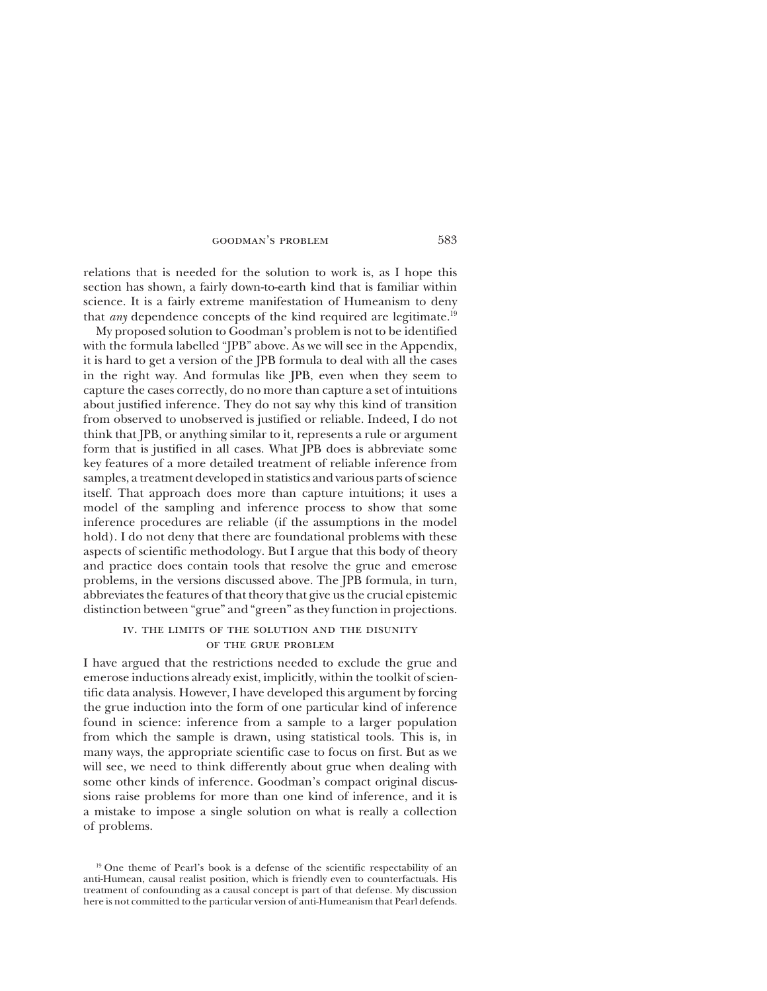relations that is needed for the solution to work is, as I hope this section has shown, a fairly down-to-earth kind that is familiar within science. It is a fairly extreme manifestation of Humeanism to deny that *any* dependence concepts of the kind required are legitimate.<sup>19</sup>

My proposed solution to Goodman's problem is not to be identified with the formula labelled "JPB" above. As we will see in the Appendix, it is hard to get a version of the JPB formula to deal with all the cases in the right way. And formulas like JPB, even when they seem to capture the cases correctly, do no more than capture a set of intuitions about justified inference. They do not say why this kind of transition from observed to unobserved is justified or reliable. Indeed, I do not think that JPB, or anything similar to it, represents a rule or argument form that is justified in all cases. What JPB does is abbreviate some key features of a more detailed treatment of reliable inference from samples, a treatment developed in statistics and various parts of science itself. That approach does more than capture intuitions; it uses a model of the sampling and inference process to show that some inference procedures are reliable (if the assumptions in the model hold). I do not deny that there are foundational problems with these aspects of scientific methodology. But I argue that this body of theory and practice does contain tools that resolve the grue and emerose problems, in the versions discussed above. The JPB formula, in turn, abbreviates the features of that theory that give us the crucial epistemic distinction between "grue" and "green" as they function in projections.

### iv. the limits of the solution and the disunity of the grue problem

I have argued that the restrictions needed to exclude the grue and emerose inductions already exist, implicitly, within the toolkit of scientific data analysis. However, I have developed this argument by forcing the grue induction into the form of one particular kind of inference found in science: inference from a sample to a larger population from which the sample is drawn, using statistical tools. This is, in many ways, the appropriate scientific case to focus on first. But as we will see, we need to think differently about grue when dealing with some other kinds of inference. Goodman's compact original discussions raise problems for more than one kind of inference, and it is a mistake to impose a single solution on what is really a collection of problems.

<sup>&</sup>lt;sup>19</sup> One theme of Pearl's book is a defense of the scientific respectability of an anti-Humean, causal realist position, which is friendly even to counterfactuals. His treatment of confounding as a causal concept is part of that defense. My discussion here is not committed to the particular version of anti-Humeanism that Pearl defends.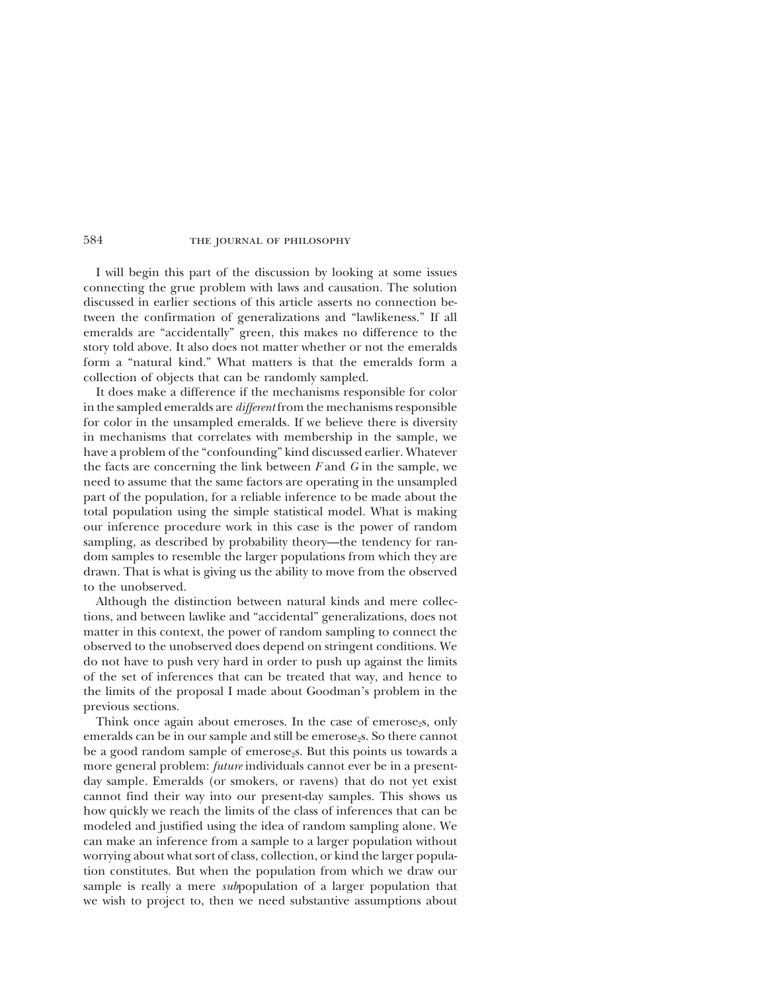I will begin this part of the discussion by looking at some issues connecting the grue problem with laws and causation. The solution discussed in earlier sections of this article asserts no connection between the confirmation of generalizations and "lawlikeness." If all emeralds are "accidentally" green, this makes no difference to the story told above. It also does not matter whether or not the emeralds form a "natural kind." What matters is that the emeralds form a collection of objects that can be randomly sampled.

It does make a difference if the mechanisms responsible for color in the sampled emeralds are *different* from the mechanisms responsible for color in the unsampled emeralds. If we believe there is diversity in mechanisms that correlates with membership in the sample, we have a problem of the "confounding" kind discussed earlier. Whatever the facts are concerning the link between *F* and *G* in the sample, we need to assume that the same factors are operating in the unsampled part of the population, for a reliable inference to be made about the total population using the simple statistical model. What is making our inference procedure work in this case is the power of random sampling, as described by probability theory—the tendency for random samples to resemble the larger populations from which they are drawn. That is what is giving us the ability to move from the observed to the unobserved.

Although the distinction between natural kinds and mere collections, and between lawlike and "accidental" generalizations, does not matter in this context, the power of random sampling to connect the observed to the unobserved does depend on stringent conditions. We do not have to push very hard in order to push up against the limits of the set of inferences that can be treated that way, and hence to the limits of the proposal I made about Goodman's problem in the previous sections.

Think once again about emeroses. In the case of emerose<sub>2</sub>s, only emeralds can be in our sample and still be emerose<sub>2</sub>s. So there cannot be a good random sample of emerose<sub>2</sub>s. But this points us towards a more general problem: *future* individuals cannot ever be in a presentday sample. Emeralds (or smokers, or ravens) that do not yet exist cannot find their way into our present-day samples. This shows us how quickly we reach the limits of the class of inferences that can be modeled and justified using the idea of random sampling alone. We can make an inference from a sample to a larger population without worrying about what sort of class, collection, or kind the larger population constitutes. But when the population from which we draw our sample is really a mere *sub*population of a larger population that we wish to project to, then we need substantive assumptions about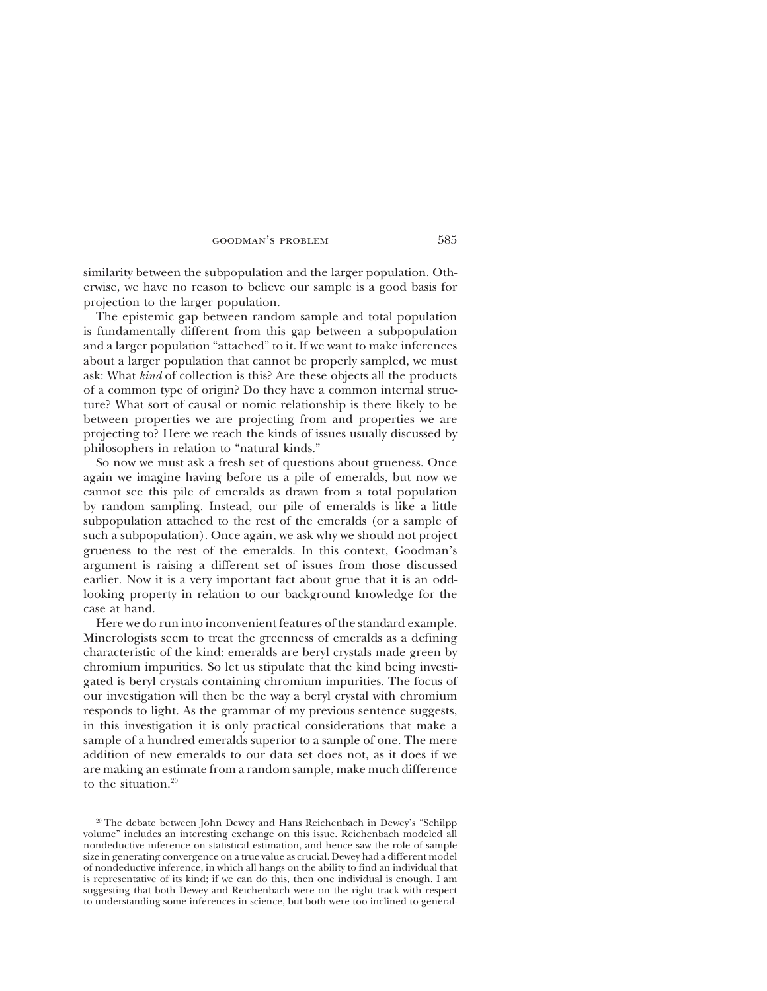similarity between the subpopulation and the larger population. Otherwise, we have no reason to believe our sample is a good basis for projection to the larger population.

The epistemic gap between random sample and total population is fundamentally different from this gap between a subpopulation and a larger population "attached" to it. If we want to make inferences about a larger population that cannot be properly sampled, we must ask: What *kind* of collection is this? Are these objects all the products of a common type of origin? Do they have a common internal structure? What sort of causal or nomic relationship is there likely to be between properties we are projecting from and properties we are projecting to? Here we reach the kinds of issues usually discussed by philosophers in relation to "natural kinds."

So now we must ask a fresh set of questions about grueness. Once again we imagine having before us a pile of emeralds, but now we cannot see this pile of emeralds as drawn from a total population by random sampling. Instead, our pile of emeralds is like a little subpopulation attached to the rest of the emeralds (or a sample of such a subpopulation). Once again, we ask why we should not project grueness to the rest of the emeralds. In this context, Goodman's argument is raising a different set of issues from those discussed earlier. Now it is a very important fact about grue that it is an oddlooking property in relation to our background knowledge for the case at hand.

Here we do run into inconvenient features of the standard example. Minerologists seem to treat the greenness of emeralds as a defining characteristic of the kind: emeralds are beryl crystals made green by chromium impurities. So let us stipulate that the kind being investigated is beryl crystals containing chromium impurities. The focus of our investigation will then be the way a beryl crystal with chromium responds to light. As the grammar of my previous sentence suggests, in this investigation it is only practical considerations that make a sample of a hundred emeralds superior to a sample of one. The mere addition of new emeralds to our data set does not, as it does if we are making an estimate from a random sample, make much difference to the situation.20

<sup>20</sup> The debate between John Dewey and Hans Reichenbach in Dewey's "Schilpp volume" includes an interesting exchange on this issue. Reichenbach modeled all nondeductive inference on statistical estimation, and hence saw the role of sample size in generating convergence on a true value as crucial. Dewey had a different model of nondeductive inference, in which all hangs on the ability to find an individual that is representative of its kind; if we can do this, then one individual is enough. I am suggesting that both Dewey and Reichenbach were on the right track with respect to understanding some inferences in science, but both were too inclined to general-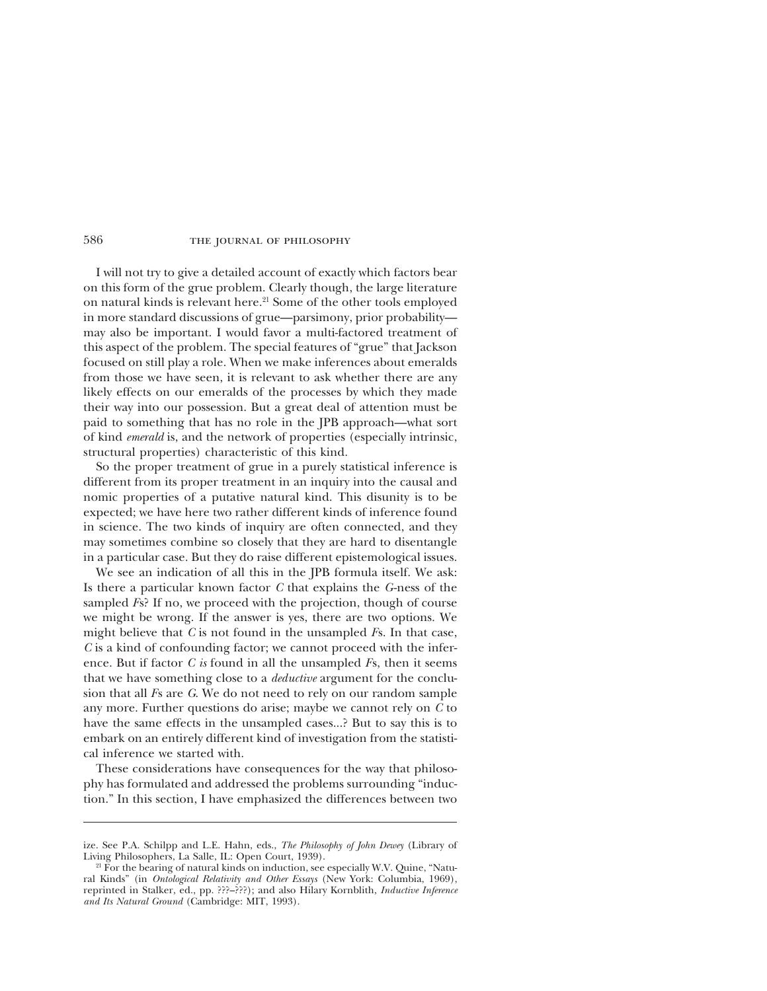I will not try to give a detailed account of exactly which factors bear on this form of the grue problem. Clearly though, the large literature on natural kinds is relevant here.<sup>21</sup> Some of the other tools employed in more standard discussions of grue—parsimony, prior probability may also be important. I would favor a multi-factored treatment of this aspect of the problem. The special features of "grue" that Jackson focused on still play a role. When we make inferences about emeralds from those we have seen, it is relevant to ask whether there are any likely effects on our emeralds of the processes by which they made their way into our possession. But a great deal of attention must be paid to something that has no role in the JPB approach—what sort of kind *emerald* is, and the network of properties (especially intrinsic, structural properties) characteristic of this kind.

So the proper treatment of grue in a purely statistical inference is different from its proper treatment in an inquiry into the causal and nomic properties of a putative natural kind. This disunity is to be expected; we have here two rather different kinds of inference found in science. The two kinds of inquiry are often connected, and they may sometimes combine so closely that they are hard to disentangle in a particular case. But they do raise different epistemological issues.

We see an indication of all this in the JPB formula itself. We ask: Is there a particular known factor *C* that explains the *G*-ness of the sampled *Fs*? If no, we proceed with the projection, though of course we might be wrong. If the answer is yes, there are two options. We might believe that *C* is not found in the unsampled *F*s. In that case, *C* is a kind of confounding factor; we cannot proceed with the inference. But if factor *C is* found in all the unsampled *F*s, then it seems that we have something close to a *deductive* argument for the conclusion that all *F*s are *G*. We do not need to rely on our random sample any more. Further questions do arise; maybe we cannot rely on *C* to have the same effects in the unsampled cases...? But to say this is to embark on an entirely different kind of investigation from the statistical inference we started with.

These considerations have consequences for the way that philosophy has formulated and addressed the problems surrounding "induction." In this section, I have emphasized the differences between two

ize. See P.A. Schilpp and L.E. Hahn, eds., *The Philosophy of John Dewey* (Library of Living Philosophers, La Salle, IL: Open Court, 1939).

<sup>&</sup>lt;sup>21</sup> For the bearing of natural kinds on induction, see especially W.V. Quine, "Natural Kinds" (in *Ontological Relativity and Other Essays* (New York: Columbia, 1969), reprinted in Stalker, ed., pp. ???–???); and also Hilary Kornblith, *Inductive Inference and Its Natural Ground* (Cambridge: MIT, 1993).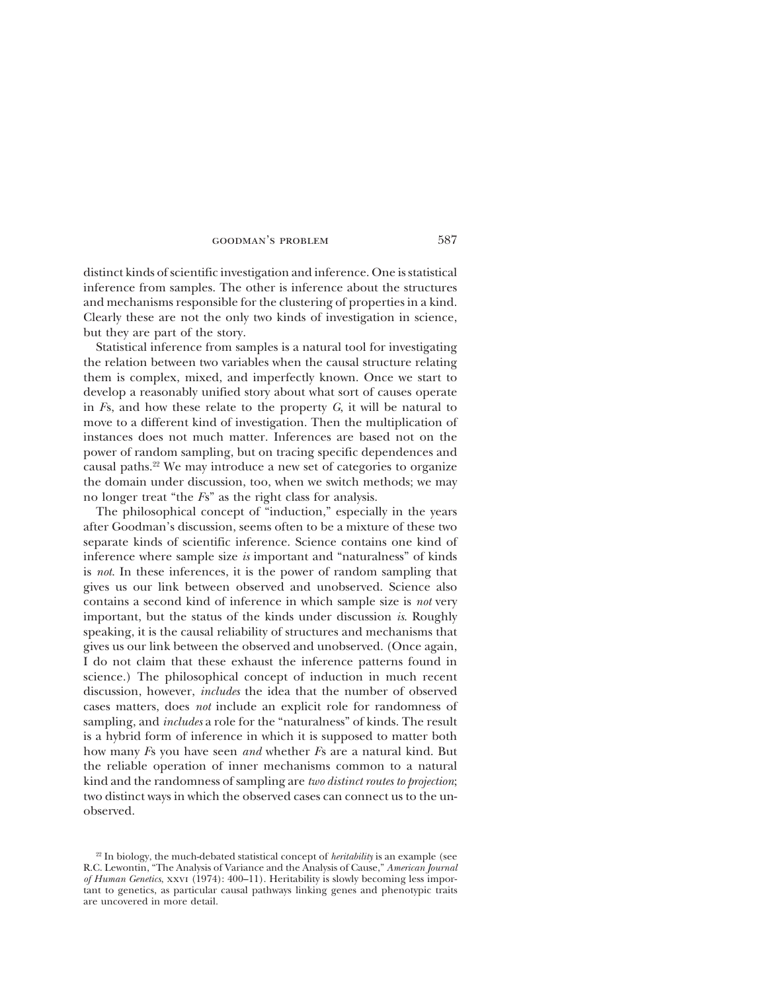distinct kinds of scientific investigation and inference. One is statistical inference from samples. The other is inference about the structures and mechanisms responsible for the clustering of properties in a kind. Clearly these are not the only two kinds of investigation in science, but they are part of the story.

Statistical inference from samples is a natural tool for investigating the relation between two variables when the causal structure relating them is complex, mixed, and imperfectly known. Once we start to develop a reasonably unified story about what sort of causes operate in *F*s, and how these relate to the property *G*, it will be natural to move to a different kind of investigation. Then the multiplication of instances does not much matter. Inferences are based not on the power of random sampling, but on tracing specific dependences and causal paths.22 We may introduce a new set of categories to organize the domain under discussion, too, when we switch methods; we may no longer treat "the *F*s" as the right class for analysis.

The philosophical concept of "induction," especially in the years after Goodman's discussion, seems often to be a mixture of these two separate kinds of scientific inference. Science contains one kind of inference where sample size *is* important and "naturalness" of kinds is *not*. In these inferences, it is the power of random sampling that gives us our link between observed and unobserved. Science also contains a second kind of inference in which sample size is *not* very important, but the status of the kinds under discussion *is*. Roughly speaking, it is the causal reliability of structures and mechanisms that gives us our link between the observed and unobserved. (Once again, I do not claim that these exhaust the inference patterns found in science.) The philosophical concept of induction in much recent discussion, however, *includes* the idea that the number of observed cases matters, does *not* include an explicit role for randomness of sampling, and *includes* a role for the "naturalness" of kinds. The result is a hybrid form of inference in which it is supposed to matter both how many *F*s you have seen *and* whether *F*s are a natural kind. But the reliable operation of inner mechanisms common to a natural kind and the randomness of sampling are *two distinct routes to projection*; two distinct ways in which the observed cases can connect us to the unobserved.

<sup>&</sup>lt;sup>22</sup> In biology, the much-debated statistical concept of *heritability* is an example (see R.C. Lewontin, "The Analysis of Variance and the Analysis of Cause," *American Journal of Human Genetics*, xxvi (1974): 400–11). Heritability is slowly becoming less important to genetics, as particular causal pathways linking genes and phenotypic traits are uncovered in more detail.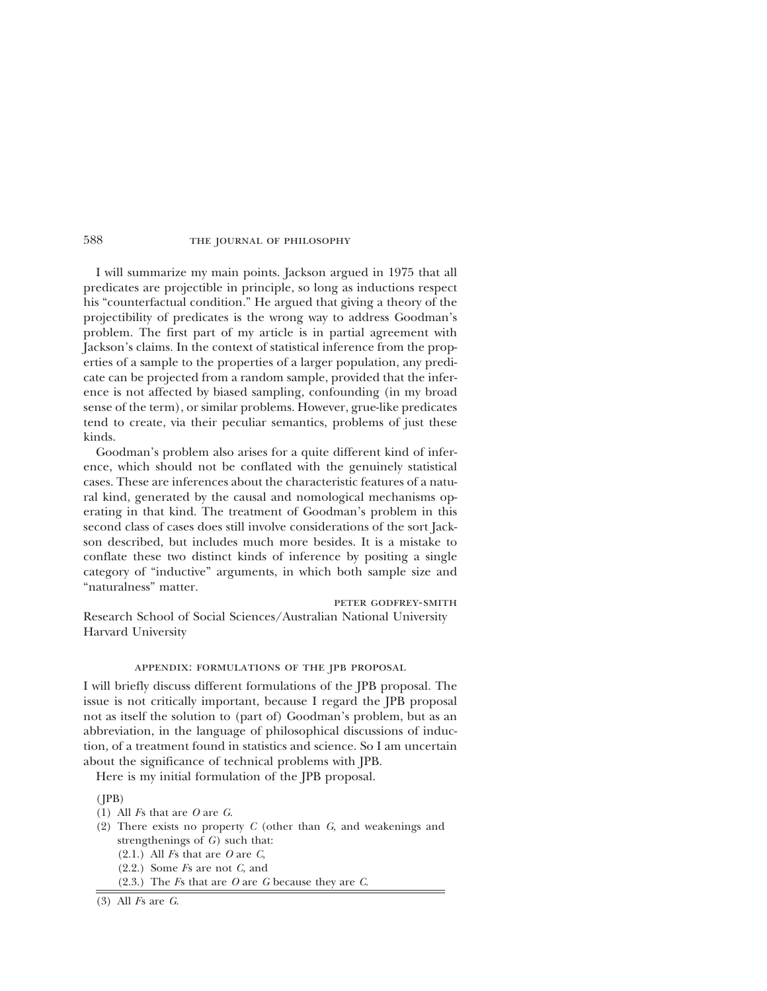I will summarize my main points. Jackson argued in 1975 that all predicates are projectible in principle, so long as inductions respect his "counterfactual condition." He argued that giving a theory of the projectibility of predicates is the wrong way to address Goodman's problem. The first part of my article is in partial agreement with Jackson's claims. In the context of statistical inference from the properties of a sample to the properties of a larger population, any predicate can be projected from a random sample, provided that the inference is not affected by biased sampling, confounding (in my broad sense of the term), or similar problems. However, grue-like predicates tend to create, via their peculiar semantics, problems of just these kinds.

Goodman's problem also arises for a quite different kind of inference, which should not be conflated with the genuinely statistical cases. These are inferences about the characteristic features of a natural kind, generated by the causal and nomological mechanisms operating in that kind. The treatment of Goodman's problem in this second class of cases does still involve considerations of the sort Jackson described, but includes much more besides. It is a mistake to conflate these two distinct kinds of inference by positing a single category of "inductive" arguments, in which both sample size and "naturalness" matter.

#### peter godfrey-smith

Research School of Social Sciences/Australian National University Harvard University

#### appendix: formulations of the jpb proposal

I will briefly discuss different formulations of the JPB proposal. The issue is not critically important, because I regard the JPB proposal not as itself the solution to (part of) Goodman's problem, but as an abbreviation, in the language of philosophical discussions of induction, of a treatment found in statistics and science. So I am uncertain about the significance of technical problems with JPB.

Here is my initial formulation of the JPB proposal.

# $(IPB)$

- (1) All *F*s that are *O* are *G*.
- (2) There exists no property *C* (other than *G*, and weakenings and strengthenings of *G*) such that: (2.1.) All *F*s that are *O* are *C*,
	- (2.2.) Some *F*s are not *C*, and
	- (2.3.) The *F*s that are *O* are *G* because they are *C*.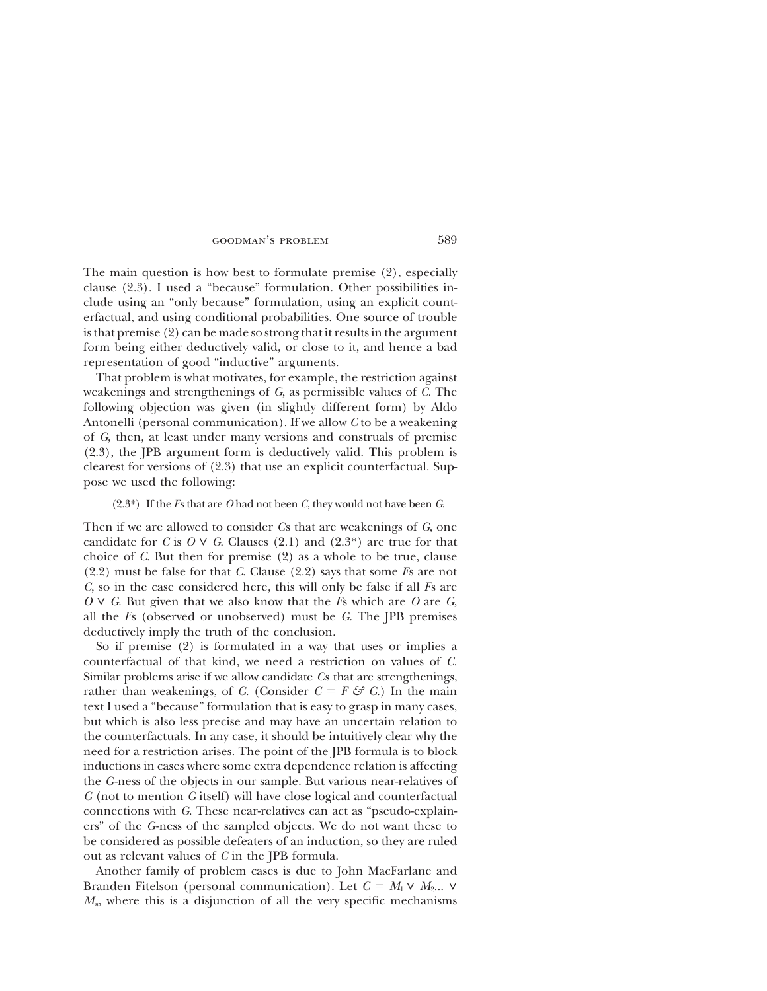The main question is how best to formulate premise (2), especially clause (2.3). I used a "because" formulation. Other possibilities include using an "only because" formulation, using an explicit counterfactual, and using conditional probabilities. One source of trouble is that premise (2) can be made so strong that it results in the argument form being either deductively valid, or close to it, and hence a bad representation of good "inductive" arguments.

That problem is what motivates, for example, the restriction against weakenings and strengthenings of *G*, as permissible values of *C*. The following objection was given (in slightly different form) by Aldo Antonelli (personal communication). If we allow *C* to be a weakening of *G*, then, at least under many versions and construals of premise (2.3), the JPB argument form is deductively valid. This problem is clearest for versions of (2.3) that use an explicit counterfactual. Suppose we used the following:

#### (2.3\*) If the *F*s that are *O* had not been *C*, they would not have been *G*.

Then if we are allowed to consider *C*s that are weakenings of *G*, one candidate for *C* is  $O \vee G$ . Clauses (2.1) and (2.3\*) are true for that choice of *C*. But then for premise (2) as a whole to be true, clause (2.2) must be false for that *C*. Clause (2.2) says that some *F*s are not *C*, so in the case considered here, this will only be false if all *F*s are *O* ∨ *G*. But given that we also know that the *F*s which are *O* are *G*, all the *F*s (observed or unobserved) must be *G*. The JPB premises deductively imply the truth of the conclusion.

So if premise (2) is formulated in a way that uses or implies a counterfactual of that kind, we need a restriction on values of *C*. Similar problems arise if we allow candidate *C*s that are strengthenings, rather than weakenings, of *G*. (Consider  $C = F \mathcal{L}$  *G*.) In the main text I used a "because" formulation that is easy to grasp in many cases, but which is also less precise and may have an uncertain relation to the counterfactuals. In any case, it should be intuitively clear why the need for a restriction arises. The point of the JPB formula is to block inductions in cases where some extra dependence relation is affecting the *G*-ness of the objects in our sample. But various near-relatives of *G* (not to mention *G* itself) will have close logical and counterfactual connections with *G*. These near-relatives can act as "pseudo-explainers" of the *G*-ness of the sampled objects. We do not want these to be considered as possible defeaters of an induction, so they are ruled out as relevant values of *C* in the JPB formula.

Another family of problem cases is due to John MacFarlane and Branden Fitelson (personal communication). Let  $C = M_1 \vee M_2...$  ∨ *Mn*, where this is a disjunction of all the very specific mechanisms